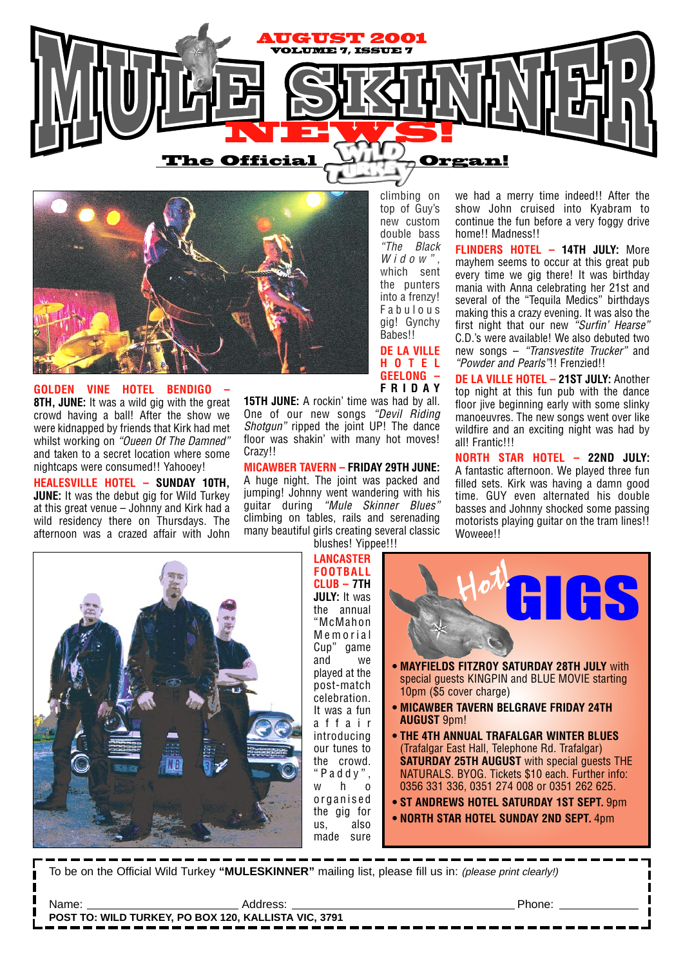



**GOLDEN VINE HOTEL BENDIGO – 8TH, JUNE:** It was a wild gig with the great crowd having a ball! After the show we were kidnapped by friends that Kirk had met whilst working on "Oueen Of The Damned" and taken to a secret location where some nightcaps were consumed!! Yahooey!

**HEALESVILLE HOTEL – SUNDAY 10TH, JUNE:** It was the debut gig for Wild Turkey at this great venue – Johnny and Kirk had a wild residency there on Thursdays. The afternoon was a crazed affair with John top of Guy's new custom double bass "The Black Widow" which sent the punters into a frenzy! Fabulous gig! Gynchy Babes!!

climbing on

**DE LA VILLE HOTEL GEELONG – FRIDAY**

**15TH JUNE:** A rockin' time was had by all. One of our new songs "Devil Riding Shotgun" ripped the joint UP! The dance floor was shakin' with many hot moves! Crazy!!

**MICAWBER TAVERN – FRIDAY 29TH JUNE:** A huge night. The joint was packed and jumping! Johnny went wandering with his guitar during "Mule Skinner Blues" climbing on tables, rails and serenading many beautiful girls creating several classic blushes! Yippee!!!

we had a merry time indeed!! After the show John cruised into Kyabram to continue the fun before a very foggy drive home!! Madness!!

**FLINDERS HOTEL – 14TH JULY:** More mayhem seems to occur at this great pub every time we gig there! It was birthday mania with Anna celebrating her 21st and several of the "Tequila Medics" birthdays making this a crazy evening. It was also the first night that our new "Surfin' Hearse" C.D.'s were available! We also debuted two new songs – "Transvestite Trucker" and "Powder and Pearls"!! Frenzied!!

**DE LA VILLE HOTEL – 21ST JULY:** Another top night at this fun pub with the dance floor jive beginning early with some slinky manoeuvres. The new songs went over like wildfire and an exciting night was had by all! Frantic!!!

**NORTH STAR HOTEL – 22ND JULY:** A fantastic afternoon. We played three fun filled sets. Kirk was having a damn good time. GUY even alternated his double basses and Johnny shocked some passing motorists playing guitar on the tram lines!! Woweee!!



**LANCASTER FOOTBALL CLUB – 7TH JULY:** It was the annual "McMahon Memorial Cup" game and we played at the post-match celebration. It was a fun affair introducing our tunes to the crowd. "Paddy",  $w$   $h$   $\Omega$ organised the gig for us, also made sure



To be on the Official Wild Turkey **"MULESKINNER"** mailing list, please fill us in: (please print clearly!)

| Name.                                                |  |  |
|------------------------------------------------------|--|--|
| POST TO: WILD TURKEY, PO BOX 120, KALLISTA VIC, 3791 |  |  |
|                                                      |  |  |